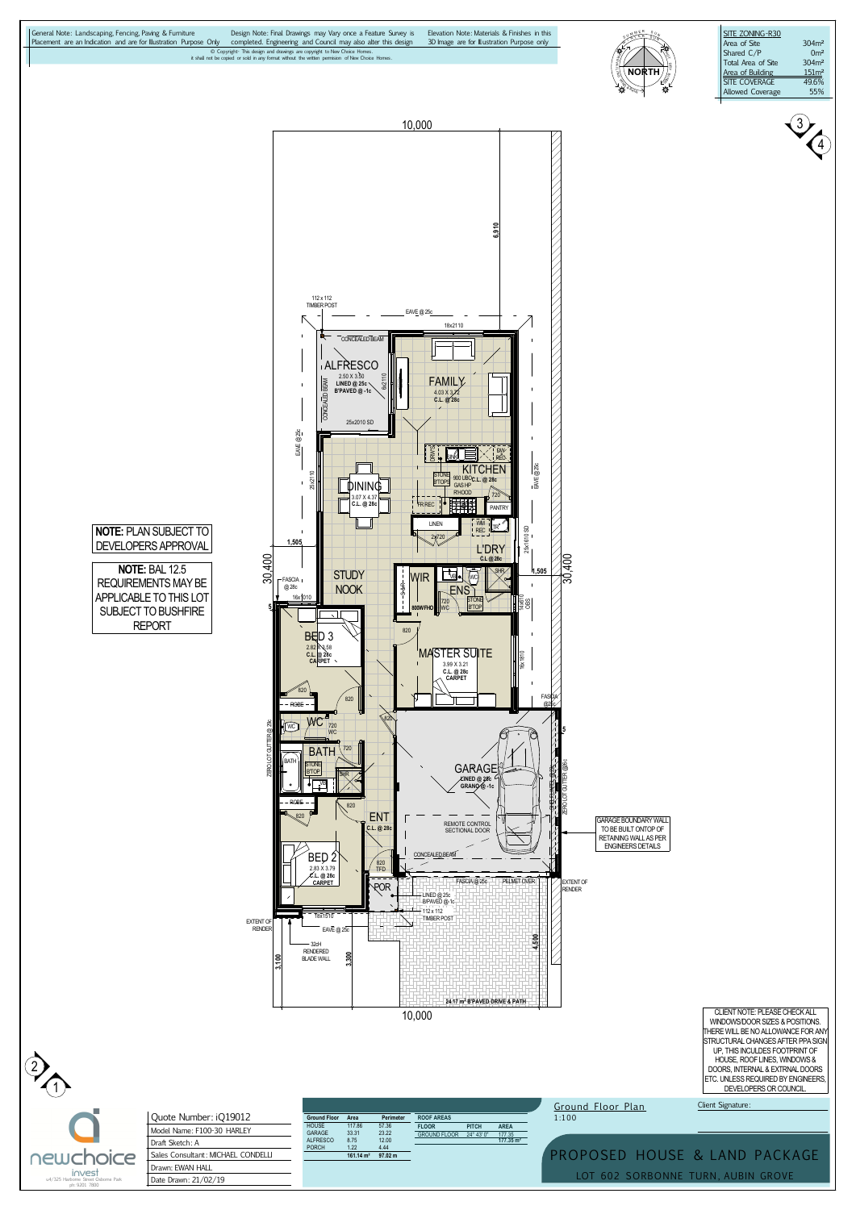



2